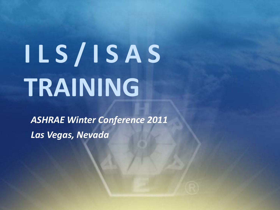# **I L S / I S A S TRAINING**

*ASHRAE Winter Conference 2011 Las Vegas, Nevada*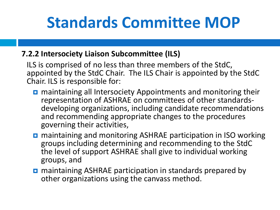# **Standards Committee MOP**

#### **7.2.2 Intersociety Liaison Subcommittee (ILS)**

ILS is comprised of no less than three members of the StdC, appointed by the StdC Chair. The ILS Chair is appointed by the StdC Chair. ILS is responsible for:

- **n** maintaining all Intersociety Appointments and monitoring their<br>representation of ASHRAE on committees of other standardsdeveloping organizations, including candidate recommendations and recommending appropriate changes to the procedures governing their activities,
- **n** maintaining and monitoring ASHRAE participation in ISO working groups including determining and recommending to the StdC the level of support ASHRAE shall give to individual working groups, and
- **n** maintaining ASHRAE participation in standards prepared by other organizations using the canvass method.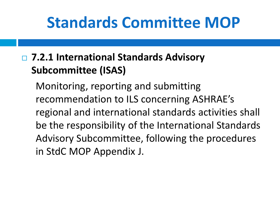### **Standards Committee MOP**

### **7.2.1 International Standards Advisory Subcommittee (ISAS)**

Monitoring, reporting and submitting recommendation to ILS concerning ASHRAE's regional and international standards activities shall be the responsibility of the International Standards Advisory Subcommittee, following the procedures in StdC MOP Appendix J.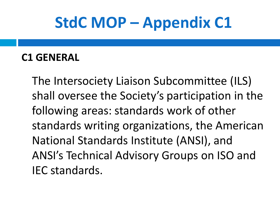# **StdC MOP – Appendix C1**

### **C1 GENERAL**

The Intersociety Liaison Subcommittee (ILS) shall oversee the Society's participation in the following areas: standards work of other standards writing organizations, the American National Standards Institute (ANSI), and ANSI's Technical Advisory Groups on ISO and IEC standards.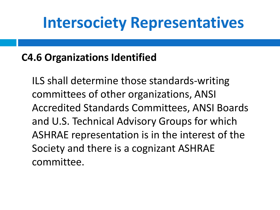### **C4.6 Organizations Identified**

ILS shall determine those standards-writing committees of other organizations, ANSI Accredited Standards Committees, ANSI Boards and U.S. Technical Advisory Groups for which ASHRAE representation is in the interest of the Society and there is a cognizant ASHRAE committee.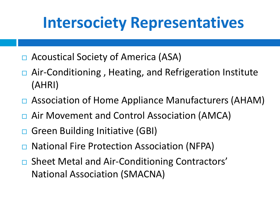- □ Acoustical Society of America (ASA)
- □ Air-Conditioning, Heating, and Refrigeration Institute (AHRI)
- □ Association of Home Appliance Manufacturers (AHAM)
- □ Air Movement and Control Association (AMCA)
- □ Green Building Initiative (GBI)
- National Fire Protection Association (NFPA)
- □ Sheet Metal and Air-Conditioning Contractors' National Association (SMACNA)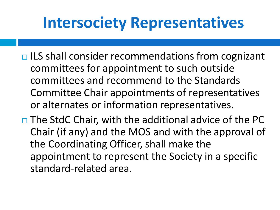- $\Box$  ILS shall consider recommendations from cognizant committees for appointment to such outside committees and recommend to the Standards Committee Chair appointments of representatives or alternates or information representatives.
- $\Box$  The StdC Chair, with the additional advice of the PC Chair (if any) and the MOS and with the approval of the Coordinating Officer, shall make the appointment to represent the Society in a specific standard-related area.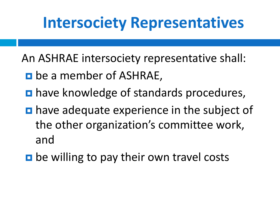An ASHRAE intersociety representative shall:

- **p** be a member of ASHRAE,
- **have knowledge of standards procedures,**
- **have adequate experience in the subject of** the other organization's committee work, and
- D be willing to pay their own travel costs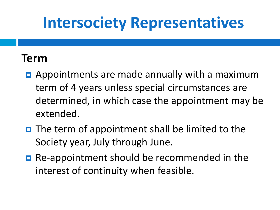### **Term**

- **E** Appointments are made annually with a maximum term of 4 years unless special circumstances are determined, in which case the appointment may be extended.
- $\blacksquare$  The term of appointment shall be limited to the Society year, July through June.
- Re-appointment should be recommended in the interest of continuity when feasible.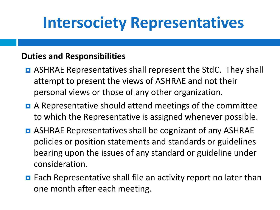#### **Duties and Responsibilities**

- ASHRAE Representatives shall represent the StdC. They shall attempt to present the views of ASHRAE and not their personal views or those of any other organization.
- **D** A Representative should attend meetings of the committee to which the Representative is assigned whenever possible.
- **D** ASHRAE Representatives shall be cognizant of any ASHRAE policies or position statements and standards or guidelines bearing upon the issues of any standard or guideline under consideration.
- Each Representative shall file an activity report no later than one month after each meeting.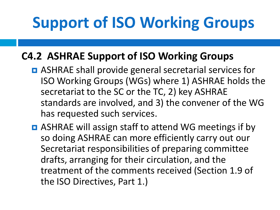# **Support of ISO Working Groups**

### **C4.2 ASHRAE Support of ISO Working Groups**

- **D** ASHRAE shall provide general secretarial services for ISO Working Groups (WGs) where 1) ASHRAE holds the secretariat to the SC or the TC, 2) key ASHRAE standards are involved, and 3) the convener of the WG has requested such services.
- **D** ASHRAE will assign staff to attend WG meetings if by so doing ASHRAE can more efficiently carry out our Secretariat responsibilities of preparing committee drafts, arranging for their circulation, and the treatment of the comments received (Section 1.9 of the ISO Directives, Part 1.)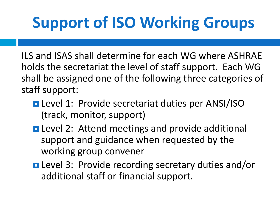# **Support of ISO Working Groups**

ILS and ISAS shall determine for each WG where ASHRAE holds the secretariat the level of staff support. Each WG shall be assigned one of the following three categories of staff support:

- **Level 1: Provide secretariat duties per ANSI/ISO** (track, monitor, support)
- **□** Level 2: Attend meetings and provide additional support and guidance when requested by the working group convener
- Level 3: Provide recording secretary duties and/or additional staff or financial support.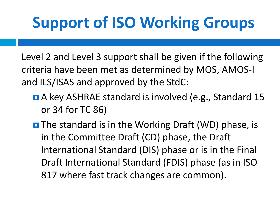# **Support of ISO Working Groups**

Level 2 and Level 3 support shall be given if the following criteria have been met as determined by MOS, AMOS-I and ILS/ISAS and approved by the StdC:

- A key ASHRAE standard is involved (e.g., Standard 15 or 34 for TC 86)
- **D** The standard is in the Working Draft (WD) phase, is in the Committee Draft (CD) phase, the Draft International Standard (DIS) phase or is in the Final Draft International Standard (FDIS) phase (as in ISO 817 where fast track changes are common).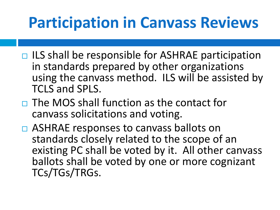# **Participation in Canvass Reviews**

- $\Box$  ILS shall be responsible for ASHRAE participation in standards prepared by other organizations using the canvass method. ILS will be assisted by TCLS and SPLS.
- $\Box$  The MOS shall function as the contact for canvass solicitations and voting.
- □ ASHRAE responses to canvass ballots on standards closely related to the scope of an existing PC shall be voted by it. All other canvass ballots shall be voted by one or more cognizant TCs/TGs/TRGs.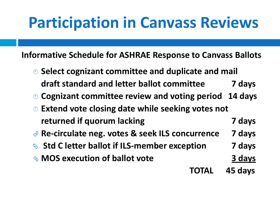# **Participation in Canvass Reviews**

**Informative Schedule for ASHRAE Response to Canvass Ballots**

- **Select cognizant committee and duplicate and mail draft standard and letter ballot committee 7 days**
- **Cognizant committee review and voting period 14 days**
- **Extend vote closing date while seeking votes not returned if quorum lacking 7 days**
- **Re-circulate neg. votes & seek ILS concurrence 7 days**
- **Std C letter ballot if ILS-member exception 7 days**
- **MOS execution of ballot vote 3 days**

**TOTAL 45 days**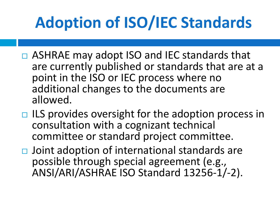# **Adoption of ISO/IEC Standards**

- □ ASHRAE may adopt ISO and IEC standards that are currently published or standards that are at a point in the ISO or IEC process where no additional changes to the documents are allowed.
- $\Box$  ILS provides oversight for the adoption process in consultation with a cognizant technical committee or standard project committee.
- $\Box$  Joint adoption of international standards are possible through special agreement (e.g., ANSI/ARI/ASHRAE ISO Standard 13256-1/-2).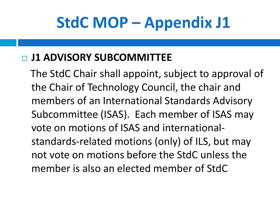# **StdC MOP – Appendix J1**

### **J1 ADVISORY SUBCOMMITTEE**

The StdC Chair shall appoint, subject to approval of the Chair of Technology Council, the chair and members of an International Standards Advisory Subcommittee (ISAS). Each member of ISAS may vote on motions of ISAS and internationalstandards-related motions (only) of ILS, but may not vote on motions before the StdC unless the member is also an elected member of StdC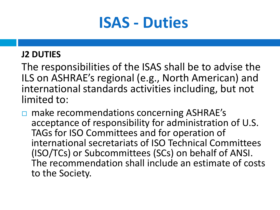### **ISAS - Duties**

#### **J2 DUTIES**

The responsibilities of the ISAS shall be to advise the ILS on ASHRAE's regional (e.g., North American) and international standards activities including, but not limited to:

**□** make recommendations concerning ASHRAE's acceptance of responsibility for administration of U.S. TAGs for ISO Committees and for operation of international secretariats of ISO Technical Committees (ISO/TCs) or Subcommittees (SCs) on behalf of ANSI. The recommendation shall include an estimate of costs to the Society.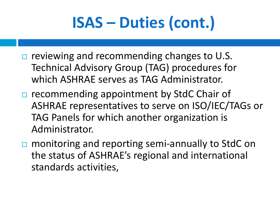# **ISAS – Duties (cont.)**

- $\Box$  reviewing and recommending changes to U.S. Technical Advisory Group (TAG) procedures for which ASHRAE serves as TAG Administrator.
- $\Box$  recommending appointment by StdC Chair of ASHRAE representatives to serve on ISO/IEC/TAGs or TAG Panels for which another organization is Administrator.
- □ monitoring and reporting semi-annually to StdC on the status of ASHRAE's regional and international standards activities,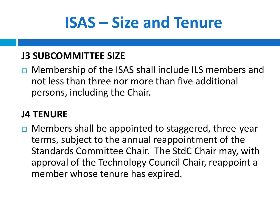# **ISAS – Size and Tenure**

#### **J3 SUBCOMMITTEE SIZE**

□ Membership of the ISAS shall include ILS members and not less than three nor more than five additional persons, including the Chair.

#### **J4 TENURE**

 $\Box$  Members shall be appointed to staggered, three-year terms, subject to the annual reappointment of the Standards Committee Chair. The StdC Chair may, with approval of the Technology Council Chair, reappoint a member whose tenure has expired.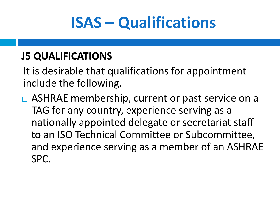# **ISAS – Qualifications**

### **J5 QUALIFICATIONS**

It is desirable that qualifications for appointment include the following.

 $\Box$  ASHRAE membership, current or past service on a TAG for any country, experience serving as a nationally appointed delegate or secretariat staff to an ISO Technical Committee or Subcommittee, and experience serving as a member of an ASHRAE SPC.